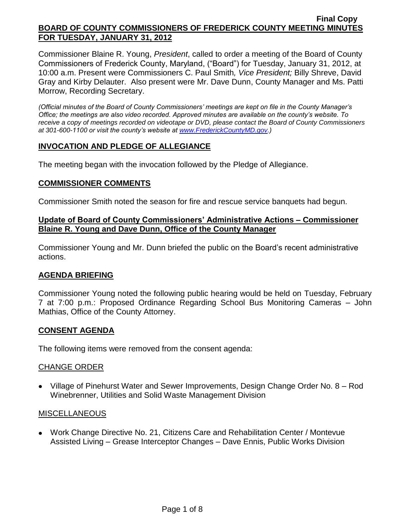Commissioner Blaine R. Young, *President*, called to order a meeting of the Board of County Commissioners of Frederick County, Maryland, ("Board") for Tuesday, January 31, 2012, at 10:00 a.m. Present were Commissioners C. Paul Smith*, Vice President;* Billy Shreve, David Gray and Kirby Delauter. Also present were Mr. Dave Dunn, County Manager and Ms. Patti Morrow, Recording Secretary.

*(Official minutes of the Board of County Commissioners' meetings are kept on file in the County Manager's Office; the meetings are also video recorded. Approved minutes are available on the county's website. To receive a copy of meetings recorded on videotape or DVD, please contact the Board of County Commissioners at 301-600-1100 or visit the county's website at [www.FrederickCountyMD.gov.](http://www.frederickcountymd.gov/))*

## **INVOCATION AND PLEDGE OF ALLEGIANCE**

The meeting began with the invocation followed by the Pledge of Allegiance.

## **COMMISSIONER COMMENTS**

Commissioner Smith noted the season for fire and rescue service banquets had begun.

### **Update of Board of County Commissioners' Administrative Actions – Commissioner Blaine R. Young and Dave Dunn, Office of the County Manager**

Commissioner Young and Mr. Dunn briefed the public on the Board's recent administrative actions.

## **AGENDA BRIEFING**

Commissioner Young noted the following public hearing would be held on Tuesday, February 7 at 7:00 p.m.: Proposed Ordinance Regarding School Bus Monitoring Cameras – John Mathias, Office of the County Attorney.

## **CONSENT AGENDA**

The following items were removed from the consent agenda:

#### CHANGE ORDER

Village of Pinehurst Water and Sewer Improvements, Design Change Order No. 8 – Rod Winebrenner, Utilities and Solid Waste Management Division

#### MISCELLANEOUS

Work Change Directive No. 21, Citizens Care and Rehabilitation Center / Montevue Assisted Living – Grease Interceptor Changes – Dave Ennis, Public Works Division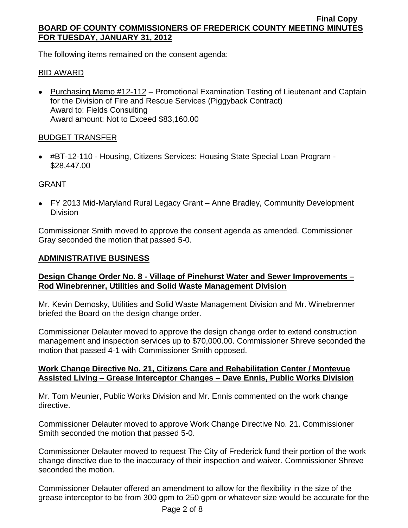The following items remained on the consent agenda:

## BID AWARD

• Purchasing Memo #12-112 – Promotional Examination Testing of Lieutenant and Captain for the Division of Fire and Rescue Services (Piggyback Contract) Award to: Fields Consulting Award amount: Not to Exceed \$83,160.00

## BUDGET TRANSFER

#BT-12-110 - Housing, Citizens Services: Housing State Special Loan Program - \$28,447.00

# GRANT

FY 2013 Mid-Maryland Rural Legacy Grant – Anne Bradley, Community Development Division

Commissioner Smith moved to approve the consent agenda as amended. Commissioner Gray seconded the motion that passed 5-0.

## **ADMINISTRATIVE BUSINESS**

## **Design Change Order No. 8 - Village of Pinehurst Water and Sewer Improvements – Rod Winebrenner, Utilities and Solid Waste Management Division**

Mr. Kevin Demosky, Utilities and Solid Waste Management Division and Mr. Winebrenner briefed the Board on the design change order.

Commissioner Delauter moved to approve the design change order to extend construction management and inspection services up to \$70,000.00. Commissioner Shreve seconded the motion that passed 4-1 with Commissioner Smith opposed.

## **Work Change Directive No. 21, Citizens Care and Rehabilitation Center / Montevue Assisted Living – Grease Interceptor Changes – Dave Ennis, Public Works Division**

Mr. Tom Meunier, Public Works Division and Mr. Ennis commented on the work change directive.

Commissioner Delauter moved to approve Work Change Directive No. 21. Commissioner Smith seconded the motion that passed 5-0.

Commissioner Delauter moved to request The City of Frederick fund their portion of the work change directive due to the inaccuracy of their inspection and waiver. Commissioner Shreve seconded the motion.

Commissioner Delauter offered an amendment to allow for the flexibility in the size of the grease interceptor to be from 300 gpm to 250 gpm or whatever size would be accurate for the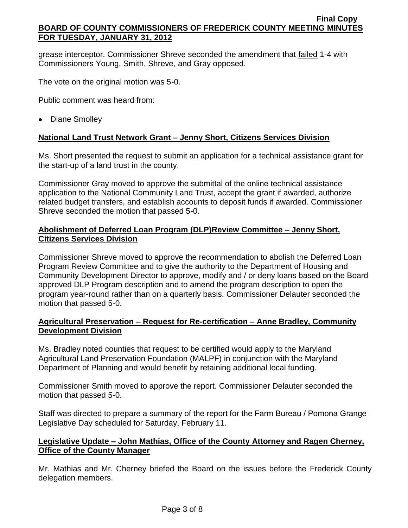grease interceptor. Commissioner Shreve seconded the amendment that failed 1-4 with Commissioners Young, Smith, Shreve, and Gray opposed.

The vote on the original motion was 5-0.

Public comment was heard from:

• Diane Smolley

## **National Land Trust Network Grant – Jenny Short, Citizens Services Division**

Ms. Short presented the request to submit an application for a technical assistance grant for the start-up of a land trust in the county.

Commissioner Gray moved to approve the submittal of the online technical assistance application to the National Community Land Trust, accept the grant if awarded, authorize related budget transfers, and establish accounts to deposit funds if awarded. Commissioner Shreve seconded the motion that passed 5-0.

## **Abolishment of Deferred Loan Program (DLP)Review Committee – Jenny Short, Citizens Services Division**

Commissioner Shreve moved to approve the recommendation to abolish the Deferred Loan Program Review Committee and to give the authority to the Department of Housing and Community Development Director to approve, modify and / or deny loans based on the Board approved DLP Program description and to amend the program description to open the program year-round rather than on a quarterly basis. Commissioner Delauter seconded the motion that passed 5-0.

## **Agricultural Preservation – Request for Re-certification – Anne Bradley, Community Development Division**

Ms. Bradley noted counties that request to be certified would apply to the Maryland Agricultural Land Preservation Foundation (MALPF) in conjunction with the Maryland Department of Planning and would benefit by retaining additional local funding.

Commissioner Smith moved to approve the report. Commissioner Delauter seconded the motion that passed 5-0.

Staff was directed to prepare a summary of the report for the Farm Bureau / Pomona Grange Legislative Day scheduled for Saturday, February 11.

## **Legislative Update – John Mathias, Office of the County Attorney and Ragen Cherney, Office of the County Manager**

Mr. Mathias and Mr. Cherney briefed the Board on the issues before the Frederick County delegation members.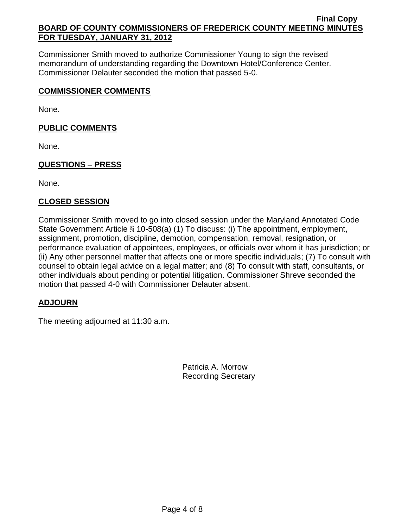Commissioner Smith moved to authorize Commissioner Young to sign the revised memorandum of understanding regarding the Downtown Hotel/Conference Center. Commissioner Delauter seconded the motion that passed 5-0.

## **COMMISSIONER COMMENTS**

None.

# **PUBLIC COMMENTS**

None.

# **QUESTIONS – PRESS**

None.

# **CLOSED SESSION**

Commissioner Smith moved to go into closed session under the Maryland Annotated Code State Government Article § 10-508(a) (1) To discuss: (i) The appointment, employment, assignment, promotion, discipline, demotion, compensation, removal, resignation, or performance evaluation of appointees, employees, or officials over whom it has jurisdiction; or (ii) Any other personnel matter that affects one or more specific individuals; (7) To consult with counsel to obtain legal advice on a legal matter; and (8) To consult with staff, consultants, or other individuals about pending or potential litigation. Commissioner Shreve seconded the motion that passed 4-0 with Commissioner Delauter absent.

# **ADJOURN**

The meeting adjourned at 11:30 a.m.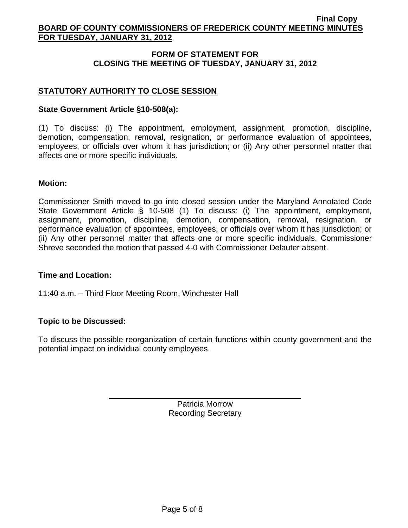## **FORM OF STATEMENT FOR CLOSING THE MEETING OF TUESDAY, JANUARY 31, 2012**

## **STATUTORY AUTHORITY TO CLOSE SESSION**

### **State Government Article §10-508(a):**

(1) To discuss: (i) The appointment, employment, assignment, promotion, discipline, demotion, compensation, removal, resignation, or performance evaluation of appointees, employees, or officials over whom it has jurisdiction; or (ii) Any other personnel matter that affects one or more specific individuals.

#### **Motion:**

Commissioner Smith moved to go into closed session under the Maryland Annotated Code State Government Article § 10-508 (1) To discuss: (i) The appointment, employment, assignment, promotion, discipline, demotion, compensation, removal, resignation, or performance evaluation of appointees, employees, or officials over whom it has jurisdiction; or (ii) Any other personnel matter that affects one or more specific individuals. Commissioner Shreve seconded the motion that passed 4-0 with Commissioner Delauter absent.

#### **Time and Location:**

11:40 a.m. – Third Floor Meeting Room, Winchester Hall

## **Topic to be Discussed:**

To discuss the possible reorganization of certain functions within county government and the potential impact on individual county employees.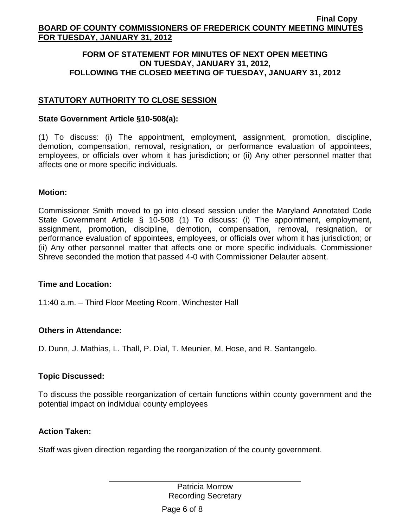### **FORM OF STATEMENT FOR MINUTES OF NEXT OPEN MEETING ON TUESDAY, JANUARY 31, 2012, FOLLOWING THE CLOSED MEETING OF TUESDAY, JANUARY 31, 2012**

## **STATUTORY AUTHORITY TO CLOSE SESSION**

#### **State Government Article §10-508(a):**

(1) To discuss: (i) The appointment, employment, assignment, promotion, discipline, demotion, compensation, removal, resignation, or performance evaluation of appointees, employees, or officials over whom it has jurisdiction; or (ii) Any other personnel matter that affects one or more specific individuals.

### **Motion:**

Commissioner Smith moved to go into closed session under the Maryland Annotated Code State Government Article § 10-508 (1) To discuss: (i) The appointment, employment, assignment, promotion, discipline, demotion, compensation, removal, resignation, or performance evaluation of appointees, employees, or officials over whom it has jurisdiction; or (ii) Any other personnel matter that affects one or more specific individuals. Commissioner Shreve seconded the motion that passed 4-0 with Commissioner Delauter absent.

#### **Time and Location:**

11:40 a.m. – Third Floor Meeting Room, Winchester Hall

## **Others in Attendance:**

D. Dunn, J. Mathias, L. Thall, P. Dial, T. Meunier, M. Hose, and R. Santangelo.

#### **Topic Discussed:**

To discuss the possible reorganization of certain functions within county government and the potential impact on individual county employees

#### **Action Taken:**

Staff was given direction regarding the reorganization of the county government.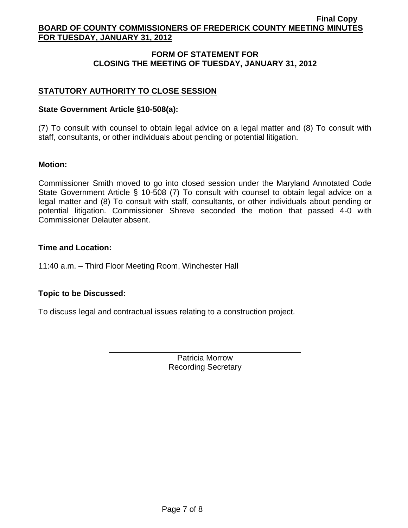## **FORM OF STATEMENT FOR CLOSING THE MEETING OF TUESDAY, JANUARY 31, 2012**

## **STATUTORY AUTHORITY TO CLOSE SESSION**

### **State Government Article §10-508(a):**

(7) To consult with counsel to obtain legal advice on a legal matter and (8) To consult with staff, consultants, or other individuals about pending or potential litigation.

### **Motion:**

Commissioner Smith moved to go into closed session under the Maryland Annotated Code State Government Article § 10-508 (7) To consult with counsel to obtain legal advice on a legal matter and (8) To consult with staff, consultants, or other individuals about pending or potential litigation. Commissioner Shreve seconded the motion that passed 4-0 with Commissioner Delauter absent.

### **Time and Location:**

11:40 a.m. – Third Floor Meeting Room, Winchester Hall

## **Topic to be Discussed:**

To discuss legal and contractual issues relating to a construction project.